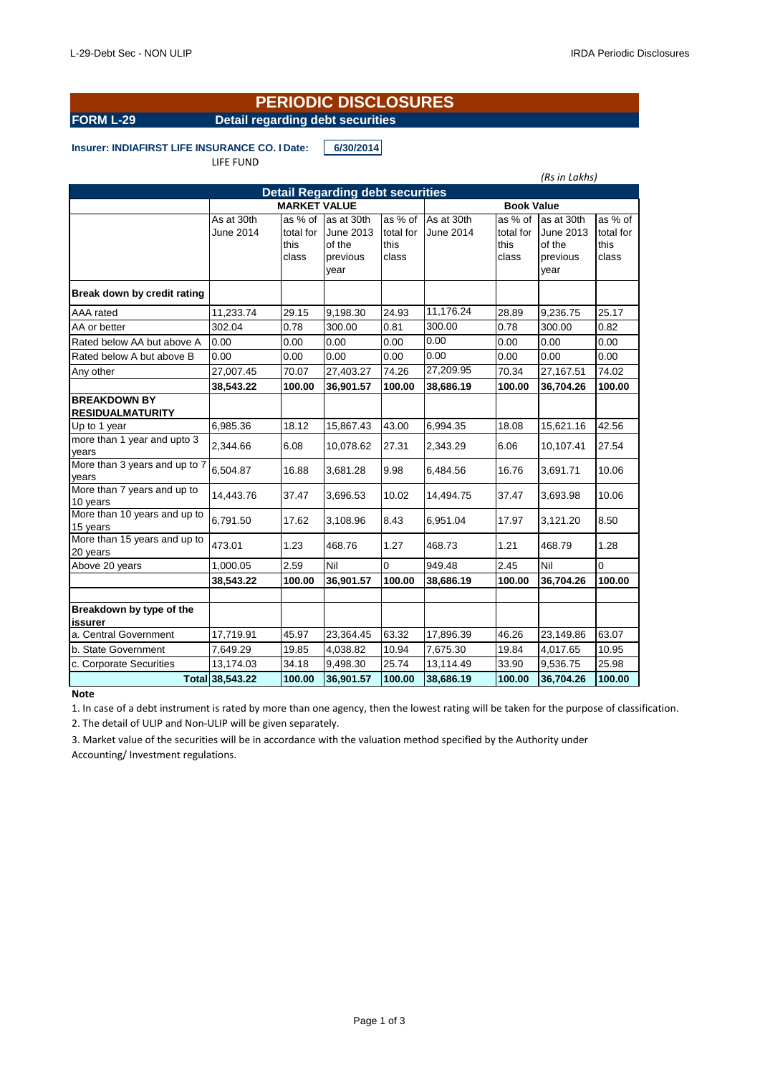*(Rs in Lakhs)*

## **FORM L-29 Detail regarding debt securities PERIODIC DISCLOSURES**

**Insurer: INDIAFIRST LIFE INSURANCE CO. I Date:** 6/30/2014

| LIFE FUND |  |
|-----------|--|
|-----------|--|

|                                                | <b>Detail Regarding debt securities</b><br><b>MARKET VALUE</b><br><b>Book Value</b><br>as % of<br>as % of<br>As at 30th<br>As at 30th<br>as % of<br>as at 30th<br>as % of<br>as at 30th<br>total for<br>June 2014<br>total for<br>June 2013<br>total for<br>June 2014<br>total for<br>June 2013<br>this<br>this<br>this<br>this<br>of the<br>of the<br>class<br>class<br>previous<br>class<br>previous<br>class<br>year<br>year<br>11,176.24<br>24.93<br>28.89<br>25.17<br>11,233.74<br>29.15<br>9,198.30<br>9,236.75<br>300.00<br>0.78<br>302.04<br>0.78<br>300.00<br>0.81<br>0.82<br>300.00<br>0.00<br>0.00<br>0.00<br>0.00<br>0.00<br>0.00<br>0.00<br>0.00<br>0.00<br>0.00<br>0.00<br>0.00<br>0.00<br>0.00<br>0.00<br>0.00<br>27,209.95<br>27,007.45<br>70.07<br>27,403.27<br>74.26<br>70.34<br>74.02<br>27,167.51<br>100.00<br>100.00<br>100.00<br>100.00<br>38,543.22<br>36,901.57<br>38,686.19<br>36,704.26<br>6,985.36<br>18.12<br>43.00<br>18.08<br>42.56<br>15,867.43<br>6,994.35<br>15,621.16<br>6.08<br>27.31<br>6.06<br>27.54<br>2,344.66<br>10,078.62<br>2,343.29<br>10,107.41<br>6,504.87<br>16.88<br>9.98<br>16.76<br>10.06<br>3,681.28<br>6,484.56<br>3,691.71<br>14,443.76<br>37.47<br>10.02<br>37.47<br>10.06<br>3,696.53<br>14,494.75<br>3,693.98<br>6,791.50<br>17.62<br>8.43<br>17.97<br>8.50<br>3,108.96<br>6,951.04<br>3,121.20 |        |           |          |           |        |           |          |  |
|------------------------------------------------|--------------------------------------------------------------------------------------------------------------------------------------------------------------------------------------------------------------------------------------------------------------------------------------------------------------------------------------------------------------------------------------------------------------------------------------------------------------------------------------------------------------------------------------------------------------------------------------------------------------------------------------------------------------------------------------------------------------------------------------------------------------------------------------------------------------------------------------------------------------------------------------------------------------------------------------------------------------------------------------------------------------------------------------------------------------------------------------------------------------------------------------------------------------------------------------------------------------------------------------------------------------------------------------------------------------------------------------------------------|--------|-----------|----------|-----------|--------|-----------|----------|--|
|                                                |                                                                                                                                                                                                                                                                                                                                                                                                                                                                                                                                                                                                                                                                                                                                                                                                                                                                                                                                                                                                                                                                                                                                                                                                                                                                                                                                                        |        |           |          |           |        |           |          |  |
|                                                |                                                                                                                                                                                                                                                                                                                                                                                                                                                                                                                                                                                                                                                                                                                                                                                                                                                                                                                                                                                                                                                                                                                                                                                                                                                                                                                                                        |        |           |          |           |        |           |          |  |
| Break down by credit rating                    |                                                                                                                                                                                                                                                                                                                                                                                                                                                                                                                                                                                                                                                                                                                                                                                                                                                                                                                                                                                                                                                                                                                                                                                                                                                                                                                                                        |        |           |          |           |        |           |          |  |
| AAA rated                                      |                                                                                                                                                                                                                                                                                                                                                                                                                                                                                                                                                                                                                                                                                                                                                                                                                                                                                                                                                                                                                                                                                                                                                                                                                                                                                                                                                        |        |           |          |           |        |           |          |  |
| AA or better                                   |                                                                                                                                                                                                                                                                                                                                                                                                                                                                                                                                                                                                                                                                                                                                                                                                                                                                                                                                                                                                                                                                                                                                                                                                                                                                                                                                                        |        |           |          |           |        |           |          |  |
| Rated below AA but above A                     |                                                                                                                                                                                                                                                                                                                                                                                                                                                                                                                                                                                                                                                                                                                                                                                                                                                                                                                                                                                                                                                                                                                                                                                                                                                                                                                                                        |        |           |          |           |        |           |          |  |
| Rated below A but above B                      |                                                                                                                                                                                                                                                                                                                                                                                                                                                                                                                                                                                                                                                                                                                                                                                                                                                                                                                                                                                                                                                                                                                                                                                                                                                                                                                                                        |        |           |          |           |        |           |          |  |
| Any other                                      |                                                                                                                                                                                                                                                                                                                                                                                                                                                                                                                                                                                                                                                                                                                                                                                                                                                                                                                                                                                                                                                                                                                                                                                                                                                                                                                                                        |        |           |          |           |        |           |          |  |
|                                                |                                                                                                                                                                                                                                                                                                                                                                                                                                                                                                                                                                                                                                                                                                                                                                                                                                                                                                                                                                                                                                                                                                                                                                                                                                                                                                                                                        |        |           |          |           |        |           |          |  |
| <b>BREAKDOWN BY</b><br><b>RESIDUALMATURITY</b> |                                                                                                                                                                                                                                                                                                                                                                                                                                                                                                                                                                                                                                                                                                                                                                                                                                                                                                                                                                                                                                                                                                                                                                                                                                                                                                                                                        |        |           |          |           |        |           |          |  |
| Up to 1 year                                   |                                                                                                                                                                                                                                                                                                                                                                                                                                                                                                                                                                                                                                                                                                                                                                                                                                                                                                                                                                                                                                                                                                                                                                                                                                                                                                                                                        |        |           |          |           |        |           |          |  |
| more than 1 year and upto 3<br>years           |                                                                                                                                                                                                                                                                                                                                                                                                                                                                                                                                                                                                                                                                                                                                                                                                                                                                                                                                                                                                                                                                                                                                                                                                                                                                                                                                                        |        |           |          |           |        |           |          |  |
| More than 3 years and up to 7<br>years         |                                                                                                                                                                                                                                                                                                                                                                                                                                                                                                                                                                                                                                                                                                                                                                                                                                                                                                                                                                                                                                                                                                                                                                                                                                                                                                                                                        |        |           |          |           |        |           |          |  |
| More than 7 years and up to<br>10 years        |                                                                                                                                                                                                                                                                                                                                                                                                                                                                                                                                                                                                                                                                                                                                                                                                                                                                                                                                                                                                                                                                                                                                                                                                                                                                                                                                                        |        |           |          |           |        |           |          |  |
| More than 10 years and up to<br>15 years       |                                                                                                                                                                                                                                                                                                                                                                                                                                                                                                                                                                                                                                                                                                                                                                                                                                                                                                                                                                                                                                                                                                                                                                                                                                                                                                                                                        |        |           |          |           |        |           |          |  |
| More than 15 years and up to<br>20 years       | 473.01                                                                                                                                                                                                                                                                                                                                                                                                                                                                                                                                                                                                                                                                                                                                                                                                                                                                                                                                                                                                                                                                                                                                                                                                                                                                                                                                                 | 1.23   | 468.76    | 1.27     | 468.73    | 1.21   | 468.79    | 1.28     |  |
| Above 20 years                                 | 1,000.05                                                                                                                                                                                                                                                                                                                                                                                                                                                                                                                                                                                                                                                                                                                                                                                                                                                                                                                                                                                                                                                                                                                                                                                                                                                                                                                                               | 2.59   | Nil       | $\Omega$ | 949.48    | 2.45   | Nil       | $\Omega$ |  |
|                                                | 38,543.22                                                                                                                                                                                                                                                                                                                                                                                                                                                                                                                                                                                                                                                                                                                                                                                                                                                                                                                                                                                                                                                                                                                                                                                                                                                                                                                                              | 100.00 | 36,901.57 | 100.00   | 38,686.19 | 100.00 | 36,704.26 | 100.00   |  |
|                                                |                                                                                                                                                                                                                                                                                                                                                                                                                                                                                                                                                                                                                                                                                                                                                                                                                                                                                                                                                                                                                                                                                                                                                                                                                                                                                                                                                        |        |           |          |           |        |           |          |  |
| Breakdown by type of the<br>issurer            |                                                                                                                                                                                                                                                                                                                                                                                                                                                                                                                                                                                                                                                                                                                                                                                                                                                                                                                                                                                                                                                                                                                                                                                                                                                                                                                                                        |        |           |          |           |        |           |          |  |
| a. Central Government                          | 17,719.91                                                                                                                                                                                                                                                                                                                                                                                                                                                                                                                                                                                                                                                                                                                                                                                                                                                                                                                                                                                                                                                                                                                                                                                                                                                                                                                                              | 45.97  | 23,364.45 | 63.32    | 17,896.39 | 46.26  | 23,149.86 | 63.07    |  |
| b. State Government                            | 7,649.29                                                                                                                                                                                                                                                                                                                                                                                                                                                                                                                                                                                                                                                                                                                                                                                                                                                                                                                                                                                                                                                                                                                                                                                                                                                                                                                                               | 19.85  | 4,038.82  | 10.94    | 7,675.30  | 19.84  | 4,017.65  | 10.95    |  |
| c. Corporate Securities                        | 13,174.03                                                                                                                                                                                                                                                                                                                                                                                                                                                                                                                                                                                                                                                                                                                                                                                                                                                                                                                                                                                                                                                                                                                                                                                                                                                                                                                                              | 34.18  | 9,498.30  | 25.74    | 13,114.49 | 33.90  | 9,536.75  | 25.98    |  |
|                                                | Total 38,543.22                                                                                                                                                                                                                                                                                                                                                                                                                                                                                                                                                                                                                                                                                                                                                                                                                                                                                                                                                                                                                                                                                                                                                                                                                                                                                                                                        | 100.00 | 36,901.57 | 100.00   | 38,686.19 | 100.00 | 36,704.26 | 100.00   |  |

### **Note**

1. In case of a debt instrument is rated by more than one agency, then the lowest rating will be taken for the purpose of classification.

2. The detail of ULIP and Non-ULIP will be given separately.

3. Market value of the securities will be in accordance with the valuation method specified by the Authority under Accounting/ Investment regulations.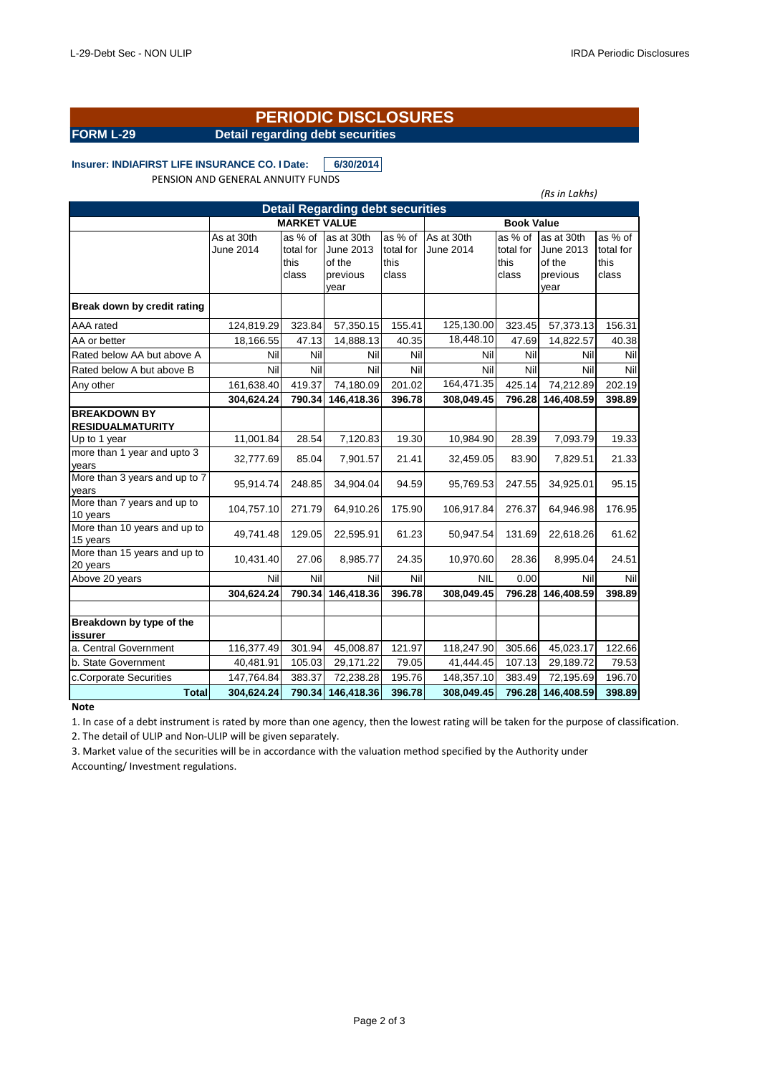# **PERIODIC DISCLOSURES**

**FORM L-29 Detail regarding debt securities**

### Insurer: INDIAFIRST LIFE INSURANCE CO. I Date: 6/30/2014 PENSION AND GENERAL ANNUITY FUNDS

|                                                |                         |                                       |                                                       |                                       |                         |                                       | (Rs in Lakhs)                                         |                                       |
|------------------------------------------------|-------------------------|---------------------------------------|-------------------------------------------------------|---------------------------------------|-------------------------|---------------------------------------|-------------------------------------------------------|---------------------------------------|
| <b>Detail Regarding debt securities</b>        |                         |                                       |                                                       |                                       |                         |                                       |                                                       |                                       |
|                                                |                         | <b>MARKET VALUE</b>                   |                                                       |                                       |                         | <b>Book Value</b>                     |                                                       |                                       |
|                                                | As at 30th<br>June 2014 | as % of<br>total for<br>this<br>class | as at 30th<br>June 2013<br>of the<br>previous<br>vear | as % of<br>total for<br>this<br>class | As at 30th<br>June 2014 | as % of<br>total for<br>this<br>class | as at 30th<br>June 2013<br>of the<br>previous<br>vear | as % of<br>total for<br>this<br>class |
| Break down by credit rating                    |                         |                                       |                                                       |                                       |                         |                                       |                                                       |                                       |
| AAA rated                                      | 124,819.29              | 323.84                                | 57,350.15                                             | 155.41                                | 125,130.00              | 323.45                                | 57,373.13                                             | 156.31                                |
| AA or better                                   | 18,166.55               | 47.13                                 | 14,888.13                                             | 40.35                                 | 18,448.10               | 47.69                                 | 14,822.57                                             | 40.38                                 |
| Rated below AA but above A                     | Nil                     | Nil                                   | Nil                                                   | Nil                                   | Nil                     | Nil                                   | Nil                                                   | Nil                                   |
| Rated below A but above B                      | Nil                     | Nil                                   | Nil                                                   | Nil                                   | Nil                     | Nil                                   | Nil                                                   | Nil                                   |
| Any other                                      | 161,638.40              | 419.37                                | 74,180.09                                             | 201.02                                | 164,471.35              | 425.14                                | 74,212.89                                             | 202.19                                |
|                                                | 304,624.24              | 790.34                                | 146,418.36                                            | 396.78                                | 308,049.45              | 796.28                                | 146,408.59                                            | 398.89                                |
| <b>BREAKDOWN BY</b><br><b>RESIDUALMATURITY</b> |                         |                                       |                                                       |                                       |                         |                                       |                                                       |                                       |
| Up to 1 year                                   | 11,001.84               | 28.54                                 | 7,120.83                                              | 19.30                                 | 10,984.90               | 28.39                                 | 7,093.79                                              | 19.33                                 |
| more than 1 year and upto 3<br>years           | 32,777.69               | 85.04                                 | 7,901.57                                              | 21.41                                 | 32,459.05               | 83.90                                 | 7,829.51                                              | 21.33                                 |
| More than 3 years and up to 7<br>vears         | 95,914.74               | 248.85                                | 34,904.04                                             | 94.59                                 | 95,769.53               | 247.55                                | 34,925.01                                             | 95.15                                 |
| More than 7 years and up to<br>10 years        | 104,757.10              | 271.79                                | 64,910.26                                             | 175.90                                | 106,917.84              | 276.37                                | 64,946.98                                             | 176.95                                |
| More than 10 years and up to<br>15 years       | 49,741.48               | 129.05                                | 22,595.91                                             | 61.23                                 | 50,947.54               | 131.69                                | 22,618.26                                             | 61.62                                 |
| More than 15 years and up to<br>20 years       | 10,431.40               | 27.06                                 | 8,985.77                                              | 24.35                                 | 10,970.60               | 28.36                                 | 8,995.04                                              | 24.51                                 |
| Above 20 years                                 | Nil                     | Nil                                   | Nil                                                   | Nil                                   | NIL                     | 0.00                                  | Nil                                                   | Nil                                   |
|                                                | 304,624.24              | 790.34                                | 146,418.36                                            | 396.78                                | 308,049.45              | 796.28                                | 146,408.59                                            | 398.89                                |
|                                                |                         |                                       |                                                       |                                       |                         |                                       |                                                       |                                       |
| Breakdown by type of the<br>issurer            |                         |                                       |                                                       |                                       |                         |                                       |                                                       |                                       |
| a. Central Government                          | 116,377.49              | 301.94                                | 45,008.87                                             | 121.97                                | 118,247.90              | 305.66                                | 45,023.17                                             | 122.66                                |
| b. State Government                            | 40,481.91               | 105.03                                | 29,171.22                                             | 79.05                                 | 41,444.45               | 107.13                                | 29,189.72                                             | 79.53                                 |
| c.Corporate Securities                         | 147,764.84              | 383.37                                | 72,238.28                                             | 195.76                                | 148,357.10              | 383.49                                | 72,195.69                                             | 196.70                                |
| <b>Total</b>                                   | 304,624.24              | 790.34                                | 146,418.36                                            | 396.78                                | 308,049.45              | 796.28                                | 146,408.59                                            | 398.89                                |

### **Note**

1. In case of a debt instrument is rated by more than one agency, then the lowest rating will be taken for the purpose of classification. 2. The detail of ULIP and Non-ULIP will be given separately.

3. Market value of the securities will be in accordance with the valuation method specified by the Authority under Accounting/ Investment regulations.